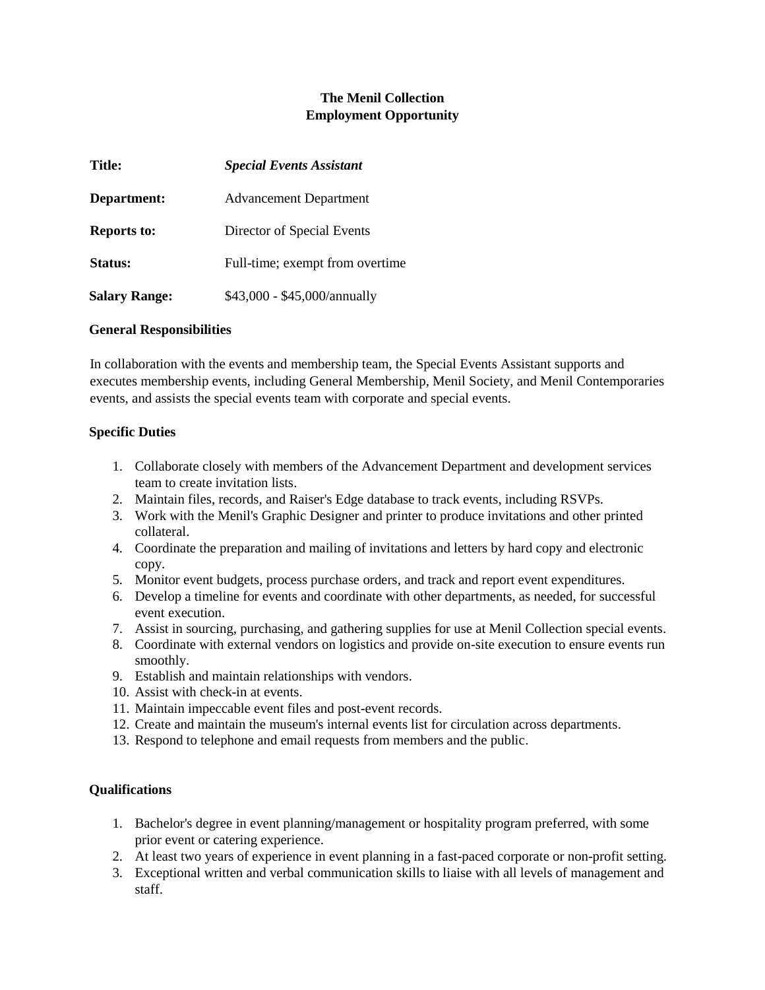# **The Menil Collection Employment Opportunity**

| <b>Title:</b>        | <b>Special Events Assistant</b> |
|----------------------|---------------------------------|
| Department:          | <b>Advancement Department</b>   |
| <b>Reports to:</b>   | Director of Special Events      |
| Status:              | Full-time; exempt from overtime |
| <b>Salary Range:</b> | \$43,000 - \$45,000/annually    |

#### **General Responsibilities**

In collaboration with the events and membership team, the Special Events Assistant supports and executes membership events, including General Membership, Menil Society, and Menil Contemporaries events, and assists the special events team with corporate and special events.

### **Specific Duties**

- 1. Collaborate closely with members of the Advancement Department and development services team to create invitation lists.
- 2. Maintain files, records, and Raiser's Edge database to track events, including RSVPs.
- 3. Work with the Menil's Graphic Designer and printer to produce invitations and other printed collateral.
- 4. Coordinate the preparation and mailing of invitations and letters by hard copy and electronic copy.
- 5. Monitor event budgets, process purchase orders, and track and report event expenditures.
- 6. Develop a timeline for events and coordinate with other departments, as needed, for successful event execution.
- 7. Assist in sourcing, purchasing, and gathering supplies for use at Menil Collection special events.
- 8. Coordinate with external vendors on logistics and provide on-site execution to ensure events run smoothly.
- 9. Establish and maintain relationships with vendors.
- 10. Assist with check-in at events.
- 11. Maintain impeccable event files and post-event records.
- 12. Create and maintain the museum's internal events list for circulation across departments.
- 13. Respond to telephone and email requests from members and the public.

### **Qualifications**

- 1. Bachelor's degree in event planning/management or hospitality program preferred, with some prior event or catering experience.
- 2. At least two years of experience in event planning in a fast-paced corporate or non-profit setting.
- 3. Exceptional written and verbal communication skills to liaise with all levels of management and staff.